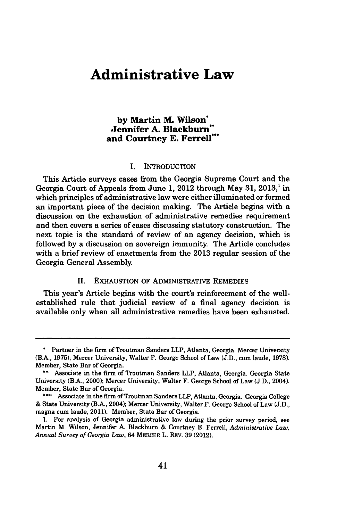# **Administrative Law**

# **by Martin M. Wilson\* Jennifer A. Blackburn" and Courtney E. Ferrell\*\***

#### **I.** INTRODUCTION

This Article surveys cases from the Georgia Supreme Court and the Georgia Court of Appeals from June 1, 2012 through May 31, 2013,<sup>1</sup> in which principles of administrative law were either illuminated or formed an important piece of the decision making. The Article begins with a discussion on the exhaustion of administrative remedies requirement and then covers a series of cases discussing statutory construction. The next topic is the standard of review of an agency decision, which is followed **by** a discussion on sovereign immunity. The Article concludes with a brief review of enactments from the **2013** regular session of the Georgia General Assembly.

### II. EXHAUSTION OF ADMINISTRATIVE REMEDIES

This year's Article begins with the court's reinforcement of the wellestablished rule that judicial review of a final agency decision is available only when all administrative remedies have been exhausted.

**<sup>\*</sup>** Partner in the firm of Troutman Sanders LLP, Atlanta, Georgia. Mercer University (B.A., **1975);** Mercer University, Walter **F.** George School of Law **(J.D.,** cum laude, **1978).** Member, State Bar of Georgia.

**<sup>\*\*</sup>** Associate in the firm of Troutman Sanders LLP, Atlanta, Georgia. Georgia State University (B.A., 2000); Mercer University, Walter F. George School of Law **(J.D.,** 2004). Member, State Bar of Georgia.

<sup>\*\*\*</sup> Associate in the firm of Troutman Sanders LLP, Atlanta, Georgia. Georgia College **&** State University (B.A., 2004); Mercer University, Walter F. George School of Law **(J.D.,** magna cum laude, 2011). Member, State Bar of Georgia.

**<sup>1.</sup>** For analysis of Georgia administrative law during the prior survey period, see Martin M. Wilson, Jennifer **A.** Blackburn **&** Courtney **E.** Ferrell, *Administrative Law, Annual Survey of Georgia Law,* 64 MERCER L. REv. **39** (2012).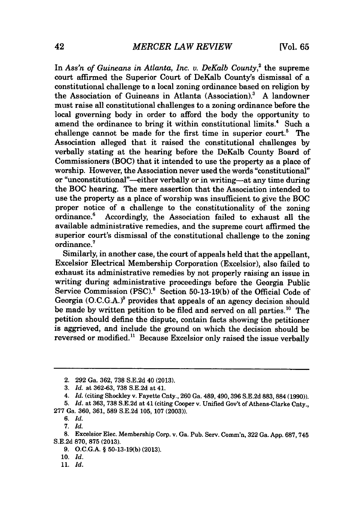In *Ass'n of Guineans in Atlanta, Inc. v. DeKalb County*<sup>2</sup> the supreme court affirmed the Superior Court of DeKalb County's dismissal of a constitutional challenge to a local zoning ordinance based on religion **by** the Association of Guineans in Atlanta (Association).? **A** landowner must raise all constitutional challenges to a zoning ordinance before the local governing body in order to afford the body the opportunity to amend the ordinance to bring it within constitutional limits.<sup>4</sup> Such a challenge cannot be made for the first time in superior court.<sup>5</sup> The Association alleged that it raised the constitutional challenges **by** verbally stating at the hearing before the DeKalb County Board of Commissioners (BOC) that it intended to use the property as a place of worship. However, the Association never used the words "constitutional" or "unconstitutional"-either verbally or in writing-at any time during the BOC hearing. The mere assertion that the Association intended to use the property as a place of worship was insufficient to give the BOC proper notice of a challenge to the constitutionality of the zoning<br>ordinance.<sup>6</sup> Accordingly, the Association failed to exhaust all the Accordingly, the Association failed to exhaust all the available administrative remedies, and the supreme court affirmed the superior court's dismissal of the constitutional challenge to the zoning ordinance.'

Similarly, in another case, the court of appeals held that the appellant, Excelsior Electrical Membership Corporation (Excelsior), also failed to exhaust its administrative remedies **by** not properly raising an issue in writing during administrative proceedings before the Georgia Public Service Commission **(PSC).'** Section **50-13-19(b)** of the Official Code of Georgia **(O.C.G.A.)?** provides that appeals of an agency decision should be made by written petition to be filed and served on all parties.<sup>10</sup> The petition should define the dispute, contain facts showing the petitioner is aggrieved, and include the ground on which the decision should be reversed or modified." Because Excelsior only raised the issue verbally

*11. Id.*

<sup>2.</sup> **292** Ga. **362, 738 S.E.2d** 40 **(2013).**

**<sup>3.</sup>** *Id.* at **362-63, 738 S.E.2d** at 41.

<sup>4.</sup> *Id.* (citing Shockley v. Fayette Cnty., **260** Ga. 489,490,396 **S.E.2d 883,884 (1990)).**

**<sup>5.</sup>** *Id.* at **363, 738 S.E.2d** at 41 (citing Cooper v. Unified Gov't of Athens-Clarke Cnty., **<sup>277</sup>**Ga. **360, 361, 589 S.E.2d 105, 107 (2003)).**

*<sup>6.</sup> Id.*

*<sup>7.</sup> Id.*

**<sup>8.</sup>** Excelsior Elec. Membership Corp. v. Ga. Pub. Serv. Comm'n, **322** Ga. **App. 687, 745 S.E.2d 870, 875 (2013).**

**<sup>9.</sup> O.C.G.A.** *§* **50-13-19(b) (2013).**

*<sup>10.</sup> Id.*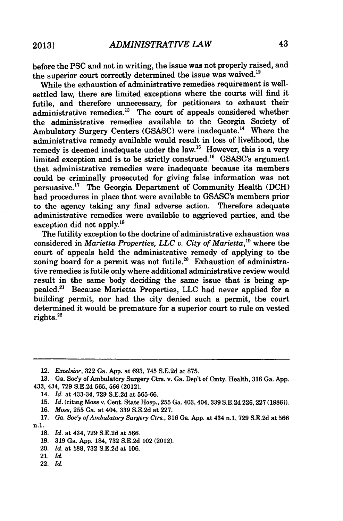before the **PSC** and not in writing, the issue was not properly raised, and the superior court correctly determined the issue was waived.<sup>12</sup>

While the exhaustion of administrative remedies requirement is wellsettled law, there are limited exceptions where the courts will find it futile, and therefore unnecessary, for petitioners to exhaust their administrative remedies. $^{13}$  The court of appeals considered whether the administrative remedies available to the Georgia Society of Ambulatory Surgery Centers **(GSASC)** were inadequate.'4 Where the administrative remedy available would result in loss of livelihood, the remedy is deemed inadequate under the law.<sup>15</sup> However, this is a very limited exception and is to be strictly construed.<sup>16</sup> GSASC's argument that administrative remedies were inadequate because its members could be criminally prosecuted for giving false information was not persuasive." The Georgia Department of Community Health **(DCH)** had procedures in place that were available to GSASC's members prior to the agency taking any final adverse action. Therefore adequate administrative remedies were available to aggrieved parties, and the exception did not apply.<sup>18</sup>

The futility exception to the doctrine of administrative exhaustion was considered in *Marietta Properties, LLC v. City of Marietta,"* where the court of appeals held the administrative remedy of applying to the zoning board for a permit was not futile.<sup>20</sup> Exhaustion of administrative remedies is futile only where additional administrative review would result in the same body deciding the same issue that is being appealed.2' Because Marietta Properties, **LLC** had never applied for a building permit, nor had the city denied such a permit, the court determined it would be premature for a superior court to rule on vested rights.22

**16.** *Moss,* **255** Ga. at 404, **339 S.E.2d** at **227.**

20. *Id.* at **188, 732 S.E.2d** at **106.**

22. *Id.*

*<sup>12.</sup> Excelsior,* **322** Ga. **App.** at **693,** 745 **S.E.2d** at **875.**

**<sup>13.</sup>** Ga. Soc'y of Ambulatory Surgery Ctrs. v. Ga. Dep't of Cmty. Health, **316** Ga. **App.** 433, 434, **729 S.E.2d 565, 566** (2012).

<sup>14.</sup> *Id.* at 433-34, **729 S.E.2d** at **565-66.**

**<sup>15.</sup>** *Id.* (citing Moss v. Cent. State Hosp., **255** Ga. 403, 404, 339 **S.E.2d 226,227 (1986)).**

**<sup>17.</sup>** *Ga. Soc'y ofAmbulatory Surgery Ctrs.,* **316** Ga. **App.** at 434 **n.1, 729 S.E.2d** at **566** n. **1.**

**<sup>18.</sup>** *Id.* at 434, **729 S.E.2d** at **566.**

**<sup>19. 319</sup>** Ga. **App.** 184, **732 S.E.2d** 102 (2012).

<sup>21.</sup> *Id.*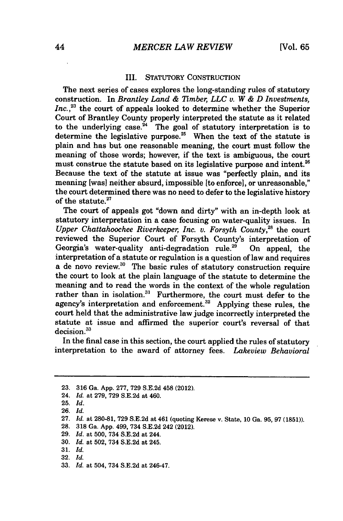#### III. STATUTORY **CONSTRUCTION**

The next series of cases explores the long-standing rules of statutory construction. In *Brantley Land & 7Tmber, LLC v. W & D Investments,* Inc.<sup>23</sup> the court of appeals looked to determine whether the Superior Court of Brantley County properly interpreted the statute as it related to the underlying case. $^{24}$  The goal of statutory interpretation is to determine the legislative purpose.<sup>25</sup> When the text of the statute is plain and has but one reasonable meaning, the court must follow the meaning of those words; however, if the text is ambiguous, the court must construe the statute based on its legislative purpose and intent.<sup>26</sup> Because the text of the statute at issue was "perfectly plain, and its meaning [was] neither absurd, impossible [to enforce], or unreasonable," the court determined there was no need to defer to the legislative history of the statute.

The court of appeals got "down and dirty" with an in-depth look at statutory interpretation in a case focusing on water-quality issues. In *Upper Chattahoochee Riverkeeper, Inc. v. Forsyth County.*<sup>28</sup> the court reviewed the Superior Court of Forsyth County's interpretation of Georgia's water-quality anti-degradation rule.<sup>29</sup> On appeal, the interpretation of a statute or regulation is a question of law and requires a de novo review.<sup>30</sup> The basic rules of statutory construction require the court to look at the plain language of the statute to determine the meaning and to read the words in the context of the whole regulation rather than in isolation.<sup>31</sup> Furthermore, the court must defer to the agency's interpretation and enforcement.<sup>32</sup> Applying these rules, the court held that the administrative law judge incorrectly interpreted the statute at issue and affirmed the superior court's reversal of that decision.<sup>33</sup>

In the final case in this section, the court applied the rules of statutory interpretation to the award of attorney fees. *Lakeview Behavioral*

- 24. *Id.* at **279, 729 S.E.2d** at 460.
- **25.** *Id.*
- **26.** *Id.*
- **27.** *Id.* at **280-81, 729 S.E.2d** at 461 (quoting Kerese v. State, **10** Ga. **95, 97 (1851)).**
- **28. 318** Ga. **App.** 499, 734 **S.E.2d** 242 (2012).
- **29.** *Id.* at **500,** 734 **S.E.2d** at 244.
- **30.** *Id.* at **502,** 734 **S.E.2d** at 245.
- **31.** *Id.*
- **32.** *Id.*
- **33.** *Id.* at 504, 734 **S.E.2d** at 246-47.

**<sup>23. 316</sup>** Ga. **App. 277, 729 S.E.2d** 458 (2012).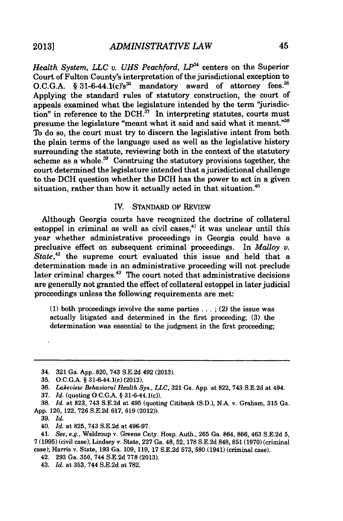*Health System, LLC v. UHS Peachford, LP*<sup>34</sup> centers on the Superior Court of Fulton County's interpretation of the jurisdictional exception to O.C.G.A. § 31-6-44.1(c)'s<sup>35</sup> mandatory award of attorney fees.<sup>36</sup> Applying the standard rules of statutory construction, the court of appeals examined what the legislature intended **by** the term "jurisdiction" in reference to the DCH.<sup>37</sup> In interpreting statutes, courts must presume the legislature "meant what it said and said what it meant."38 To do so, the court must try to discern the legislative intent from both the plain terms of the language used as well as the legislative history surrounding the statute, reviewing both in the context of the statutory scheme as a whole. $39$  Construing the statutory provisions together, the court determined the legislature intended that a jurisdictional challenge to the **DCH** question whether the **DCH** has the power to act in a given situation, rather than how it actually acted in that situation.<sup>40</sup>

## IV. **STANDARD** OF REVIEW

Although Georgia courts have recognized the doctrine of collateral estoppel in criminal as well as civil cases, $41$  it was unclear until this year whether administrative proceedings in Georgia could have a preclusive effect on subsequent criminal proceedings. In *Malloy v.* State,<sup>42</sup> the supreme court evaluated this issue and held that a determination made in an administrative proceeding will not preclude later criminal charges.<sup>43</sup> The court noted that administrative decisions are generally not granted the effect of collateral estoppel in later judicial proceedings unless the following requirements are met:

**(1)** both proceedings involve the same parties **... ;** (2) the issue was actually litigated and determined in the first proceeding, **(3)** the determination was essential to the judgment in the first proceeding;

**37.** *Id.* (quoting **O.C.G.A.** *§* 31-6-44.1(c)).

<sup>34.</sup> **321** Ga. **App. 820,** 743 **S.E.2d** 492 **(2013).**

**<sup>35.</sup> O.C.G.A.** *§* 31-6-44.1(c) (2012).

**<sup>36.</sup>** *Lakeview Behavioral Health Sys., LLC,* **321** Ga. **App.** at **822,** 743 **S.E.2d** at 494.

**<sup>38.</sup>** *Id.* at **823,** 743 **S.E.2d** at 495 (quoting Citibank **(S.D.),** N.A. v. Graham, **315** Ga. **App.** 120, 122, **726 S.E.2d 617, 619** (2012)).

*<sup>39.</sup> Id.*

<sup>40.</sup> *Id.* at **825,** 743 **S.E.2d** at **496-97.**

<sup>41.</sup> *See, e.g.,* Waldroup v. Greene Cnty. Hosp. Auth., **265** Ga. 864, **866,** 463 **S.E.2d 5,** *7* **(1995)** (civil case); Lindsey v. State, **227** Ga. 48, **52, 178 S.E.2d 848, 851 (1970)** (criminal case); Harris v. State, **193** Ga. **109, 119, 17 S.E.2d 573, 580** (1941) (criminal case).

<sup>42.</sup> **293** Ga. **350,** 744 **S.E.2d 778 (2013).**

<sup>43.</sup> *Id.* at **353,** 744 **S.E.2d** at **782.**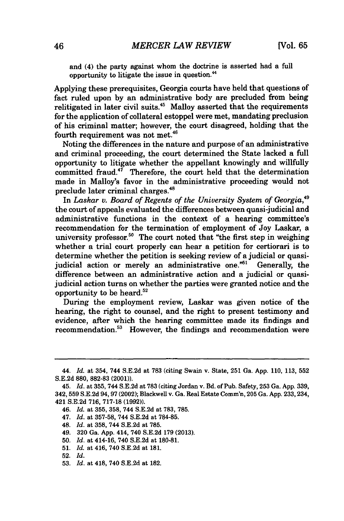and (4) the party against whom the doctrine is asserted had a full opportunity to litigate the issue in question."

Applying these prerequisites, Georgia courts have held that questions of fact ruled upon **by** an administrative body are precluded from being relitigated in later civil suits.<sup>45</sup> Malloy asserted that the requirements for the application of collateral estoppel were met, mandating preclusion of his criminal matter; however, the court disagreed, holding that the fourth requirement was not met.46

Noting the differences in the nature and purpose of an administrative and criminal proceeding, the court determined the State lacked a full opportunity to litigate whether the appellant knowingly and willfully committed fraud. $47$  Therefore, the court held that the determination made in Malloy's favor in the administrative proceeding would not preclude later criminal charges.<sup>48</sup>

In *Laskar v. Board of Regents of the University System of Georgia,"9* the court of appeals evaluated the differences between quasi-judicial and administrative functions in the context of a hearing committee's recommendation for the termination of employment of Joy Laskar, a university professor.<sup>50</sup> The court noted that "the first step in weighing" whether a trial court properly can hear a petition for certiorari is to determine whether the petition is seeking review of a judicial or quasijudicial action or merely an administrative one.<sup>"51</sup> Generally, the difference between an administrative action and a judicial or quasijudicial action turns on whether the parties were granted notice and the opportunity to be heard. $52$ 

During the employment review, Laskar was given notice of the hearing, the right to counsel, and the right to present testimony and evidence, after which the hearing committee made its findings and recommendation.<sup>53</sup> However, the findings and recommendation were

- 47. *Id.* at **357-58,** 744 **S.E.2d** at **784-85.**
- 48. *Id.* at **358,** 744 **S.E.2d** at **785.**
- 49. **320** Ga. **App.** 414, 740 **S.E.2d 179 (2013).**
- **50.** *Id.* at 414-16, 740 **S.E.2d** at **180-81.**
- **51.** *Id.* at 416, 740 **S.E.2d** at **181.**
- **52.** *Id.*
- **53.** *Id.* at 418, 740 **S.E.2d** at **182.**

<sup>44.</sup> *Id.* at 354, 744 **S.E.2d** at **783** (citing Swain v. State, **251** Ga. **App. 110, 113, 552 S.E.2d 880, 882-83** (2001)).

<sup>45.</sup> Id. at **355,** 744 **S.E.2d** at **783** (citing Jordan v. Bd. of Pub. Safety, **253** Ga. **App. 339,** 342, **559 S.E.2d 94,97** (2002); Blackwell v. Ga. Real Estate Comm'n, **205** Ga. **App.** 233,234, 421 **S.E.2d 716, 717-18 (1992)).**

*<sup>46.</sup> Id.* at **355, 358,** 744 **S.E.2d** at **783, 785.**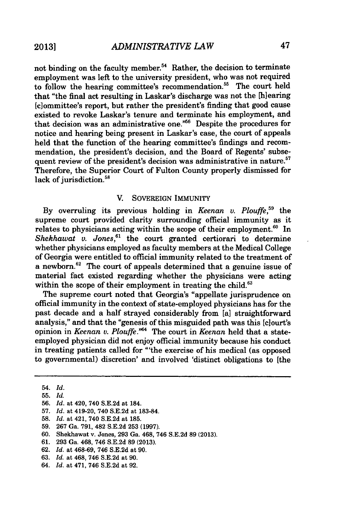not binding on the faculty member.<sup>54</sup> Rather, the decision to terminate employment was left to the university president, who was not required to follow the hearing committee's recommendation.<sup>55</sup> The court held that "the final act resulting in Laskar's discharge was not the [hlearing (c]ommittee's report, but rather the president's finding that good cause existed to revoke Laskar's tenure and terminate his employment, and that decision was an administrative one.<sup> $m66$ </sup> Despite the procedures for notice and hearing being present in Laskar's case, the court of appeals held that the function of the hearing committee's findings and recommendation, the president's decision, and the Board of Regents' subsequent review of the president's decision was administrative in nature.<sup>57</sup> Therefore, the Superior Court of Fulton County properly dismissed for lack of jurisdiction.<sup>58</sup>

#### V. **SOVEREIGN** IMMUNITY

**By** overruling its previous holding in *Keenan v. Plouffe,"* the supreme court provided clarity surrounding official immunity as it relates to physicians acting within the scope of their employment. $60$  In *Shekhawat v. Jones,61* the court granted certiorari to determine whether physicians employed as faculty members at the Medical College of Georgia were entitled to official immunity related to the treatment of a newborn.<sup>62</sup> The court of appeals determined that a genuine issue of material fact existed regarding whether the physicians were acting within the scope of their employment in treating the child.<sup>63</sup>

The supreme court noted that Georgia's "appellate jurisprudence on official immunity in the context of state-employed physicians has for the past decade and a half strayed considerably from [a] straightforward analysis," and that the "genesis of this misguided path was this [clourt's opinion in *Keenan v. Plouffe.*<sup>764</sup> The court in *Keenan* held that a stateemployed physician did not enjoy official immunity because his conduct in treating patients called for "'the exercise of his medical (as opposed to governmental) discretion' and involved 'distinct obligations to [the

- **60.** Shekhawat v. Jones, **293** Ga. 468, 746 **S.E.2d 89 (2013).**
- **61. 293** Ga. 468, 746 **S.E.2d 89 (2013).**
- **62.** *Id.* at **468-69,** 746 **S.E.2d** at **90.**
- **63.** *Id.* at 468, 746 **S.E.2d** at **90.**
- 64. *Id.* at 471, 746 **S.E.2d** at **92.**

<sup>54.</sup> *Id.*

**<sup>55.</sup>** *Id.*

**<sup>56.</sup>** *Id.* at 420, 740 **S.E.2d** at 184.

**<sup>57.</sup>** *Id.* at 419-20, 740 **S.E.2d** at **183-84.**

**<sup>58.</sup>** *Id.* at 421, 740 **S.E.2d** at **185.**

**<sup>59. 267</sup>** Ga. **791,** 482 **S.E.2d 253 (1997).**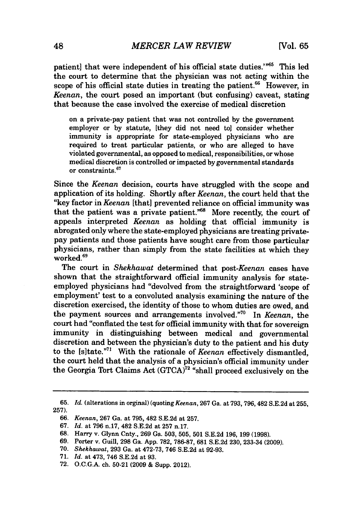patient) that were independent of his official state duties."<sup>65</sup> This led the court to determine that the physician was not acting within the scope of his official state duties in treating the patient. $66$  However, in *Keenan,* the court posed an important (but confusing) caveat, stating that because the case involved the exercise of medical discretion

on a private-pay patient that was not controlled **by** the government employer or **by** statute, [they did not need to] consider whether immunity is appropriate for state-employed physicians who are required to treat particular patients, or who are alleged to have violated governmental, as opposed to medical, responsibilities, or whose medical discretion is controlled or impacted **by** governmental standards or constraints.<sup>67</sup>

Since the *Keenan* decision, courts have struggled with the scope and application of its holding. Shortly after *Keenan,* the court held that the "key factor in *Keenan* [that] prevented reliance on official immunity was that the patient was a private patient."68 More recently, the court of appeals interpreted *Keenan* as holding that official immunity is abrogated only where the state-employed physicians are treating privatepay patients and those patients have sought care from those particular physicians, rather than simply from the state facilities at which they worked.<sup>69</sup>

The court in *Shekhawat* determined that *post-Keenan* cases have shown that the straightforward official immunity analysis for stateemployed physicians had "devolved from the straightforward 'scope of employment' test to a convoluted analysis examining the nature of the discretion exercised, the identity of those to whom duties are owed, and the payment sources and arrangements involved."<sup>70</sup> In *Keenan*, the court had "conflated the test for official immunity with that for sovereign immunity in distinguishing between medical and governmental discretion and between the physician's duty to the patient and his duty to the [s]tate."" With the rationale of *Keenan* effectively dismantled, the court held that the analysis of a physician's official immunity under the Georgia Tort Claims Act **(GTCA)"** "shall proceed exclusively on the

**<sup>65.</sup>** *Id.* (alterations in orginal) (quoting *Keenan,* **267** Ga. at 793, 796,482 S.E.2d at 255, **257).**

*<sup>66.</sup> Keenan,* **267** Ga. at **795,** 482 **S.E.2d** at **257.**

*<sup>67.</sup> Id.* at **796** n.17, 482 **S.E.2d** at **257** n.17.

**<sup>68.</sup>** Harry v. Glynn Cnty., **269** Ga. **503, 505, 501 S.E.2d 196, 199 (1998).**

**<sup>69.</sup>** Porter v. Guill, **298** Ga. **App. 782, 786-87, 681 S.E.2d 230,** 233-34 **(2009).**

**<sup>70.</sup>** *Shekhawal,* **293** Ga. at **472-73,** 746 **S.E.2d** at **92-93.**

**<sup>71.</sup>** *Id.* at 473, 746 **S.E.2d** at **93.**

**<sup>72.</sup> O.C.G.A.** ch. **50-21 (2009 &** Supp. 2012).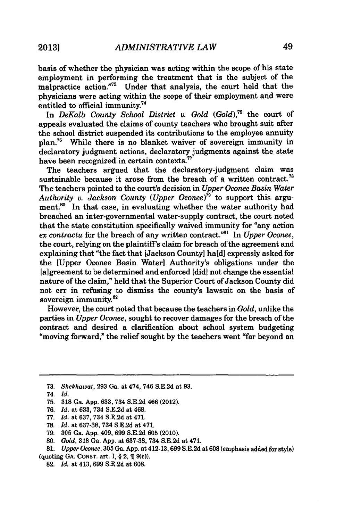basis of whether the physician was acting within the scope of his state employment in performing the treatment that is the subject of the malpractice action."<sup>73</sup> Under that analysis, the court held that the physicians were acting within the scope of their employment and were entitled to official immunity.74

In *DeKalb County School District v. Gold (Gold)*,<sup>75</sup> the court of appeals evaluated the claims of county teachers who brought suit after the school district suspended its contributions to the employee annuity plan.76 While there is no blanket waiver of sovereign immunity in declaratory judgment actions, declaratory judgments against the state have been recognized in certain contexts.<sup>7</sup>

The teachers argued that the declaratory-judgment claim was sustainable because it arose from the breach of a written contract.<sup>78</sup> The teachers pointed to the court's decision in *Upper Oconee Basin Water Authority v. Jackson County (Upper Oconee)<sup>79</sup> to support this argu*ment.<sup>80</sup> In that case, in evaluating whether the water authority had breached an inter-governmental water-supply contract, the court noted that the state constitution specifically waived immunity for "any action *ex contractu* for the breach of any written contract."" In *Upper Oconee,* the court, relying on the plaintiff's claim for breach of the agreement and explaining that "the fact that [Jackson County] hald] expressly asked for the [Upper Oconee Basin Water] Authority's obligations under the [a] greement to be determined and enforced [did] not change the essential nature of the claim," held that the Superior Court of Jackson County did not err in refusing to dismiss the county's lawsuit on the basis of sovereign immunity.<sup>82</sup>

However, the court noted that because the teachers in *Gold,* unlike the parties in *Upper Oconee,* sought to recover damages for the breach of the contract and desired a clarification about school system budgeting "moving forward," the relief sought **by** the teachers went "far beyond an

- *77. Id. at* **637,** 734 **S.E.2d** at 471.
- **78.** *Id. at* **637-38,** 734 **S.E.2d** at 471.
- **79. 305** Ga. **App.** 409, **699 S.E.2d 605** (2010).
- **80.** *Gold,* **318** Ga. **App.** at **637-38,** 734 **S.E.2d** at 471.

**81.** *Upper Oconee,* **305** Ga. **App.** at 412-13, **699 S.E.2d** at **608** (emphasis added for style) (quoting **GA. CONST.** art. **I,** *§* 2, **1** 9(c)).

**<sup>73.</sup>** Shekhawat, **293** Ga. at 474, 746 **S.E.2d** at **93.**

*<sup>74.</sup> Id.*

**<sup>75. 318</sup>** Ga. **App. 633,** 734 **S.E.2d** 466 (2012).

*<sup>76.</sup> Id. at* **633,** 734 **S.E.2d** at 468.

**<sup>82.</sup>** *Id.* at 413, **699 S.E.2d** at **608.**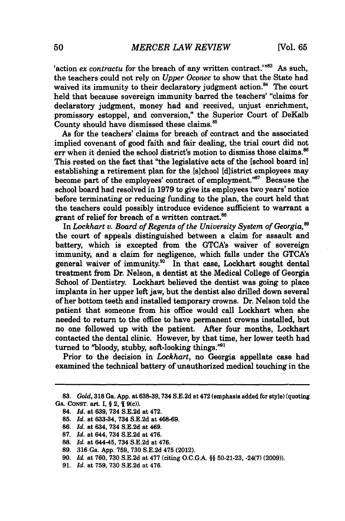'action *ex contractu* for the breach of any written contract.'"<sup>83</sup> As such, the teachers could not rely on *Upper Oconee* to show that the State had waived its immunity to their declaratory judgment action.<sup>84</sup> The court held that because sovereign immunity barred the teachers' "claims for declaratory judgment, money had and received, unjust enrichment, promissory estoppel, and conversion," the Superior Court of DeKalb County should have dismissed these claims.<sup>85</sup>

As for the teachers' claims for breach of contract and the associated implied covenant of good faith and fair dealing, the trial court did not err when it denied the school district's motion to dismiss those claims.<sup>86</sup> This rested on the fact that "the legislative acts of the [school board in] establishing a retirement plan for the [s]chool [d]istrict employees may become part of the employees' contract of employment."87 Because the school board had resolved in **1979** to give its employees two years' notice before terminating or reducing funding to the plan, the court held that the teachers could possibly introduce evidence sufficient to warrant a grant of relief for breach of a written contract.<sup>88</sup>

In *Lockhart v. Board of Regents of the University System of Georgia,'* the court of appeals distinguished between a claim for assault and battery, which is excepted from the GTCA's waiver of sovereign immunity, and a claim for negligence, which falls under the GTCA's general waiver of immunity.<sup>90</sup> In that case, Lockhart sought dental treatment from Dr. Nelson, a dentist at the Medical College of Georgia School of Dentistry. Lockhart believed the dentist was going to place implants in her upper left jaw, but the dentist also drilled down several of her bottom teeth and installed temporary crowns. Dr. Nelson told the patient that someone from his office would call Lockhart when she needed to return to the office to have permanent crowns installed, but no one followed up with the patient. After four months, Lockhart contacted the dental clinic. However, **by** that time, her lower teeth had turned to "bloody, stubby, soft-looking things." $91$ 

Prior to the decision in *Lockhart,* no Georgia appellate case had examined the technical battery of unauthorized medical touching in the

**86.** *Id.* at 634, 734 **S.E.2d** at 469.

**<sup>83.</sup>** *Gold,* **318** Ga. **App.** at **638-39,734 S.E.2d** at 472 (emphasis added for style) (quoting GA. CONST. art. I, § 2, ¶ 9(c)).

<sup>84.</sup> *Id.* at **639,** 734 **S.E.2d** at 472.

**<sup>85.</sup>** *Id.* at **633-34,** 734 **S.E.2d** at **468-69.**

**<sup>87.</sup>** *Id.* at 644, 734 **S.E.2d** at 476.

**<sup>88.</sup>** *Id.* at 644-45, 734 **S.E.2d** at 476.

**<sup>89. 316</sup>** Ga. **App. 759, 730 S.E.2d** 475 (2012).

**<sup>90.</sup>** *Id.* at **760, 730 S.E.2d** at **477** (citing **O.C.G.A. §§ 50-21-23,** -24(7) **(2009)).**

**<sup>91.</sup>** *Id.* at **759, 730 S.E.2d** at 476.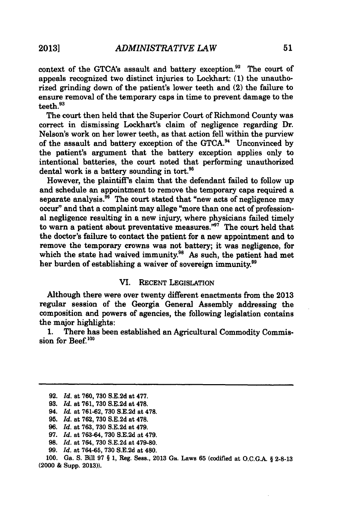context of the GTCA's assault and battery exception.<sup>92</sup> The court of appeals recognized two distinct injuries to Lockhart: **(1)** the unauthorized grinding down of the patient's lower teeth and (2) the failure to ensure removal of the temporary caps in time to prevent damage to the teeth.93

The court then held that the Superior Court of Richmond County was correct in dismissing Lockhart's claim of negligence regarding Dr. Nelson's work on her lower teeth, as that action fell within the purview of the assault and battery exception of the **GTCA.94** Unconvinced **by** the patient's argument that the battery exception applies only to intentional batteries, the court noted that performing unauthorized dental work is a battery sounding in tort.<sup>95</sup>

However, the plaintiff's claim that the defendant failed to follow up and schedule an appointment to remove the temporary caps required a separate analysis. $<sup>36</sup>$  The court stated that "new acts of negligence may</sup> occur" and that a complaint may allege "more than one act of professional negligence resulting in a new injury, where physicians failed timely to warn a patient about preventative measures. $^{797}$  The court held that the doctor's failure to contact the patient for a new appointment and to remove the temporary crowns was not battery; it was negligence, for which the state had waived immunity.<sup>98</sup> As such, the patient had met her burden of establishing a waiver of sovereign immunity.<sup>99</sup>

## VI. **RECENT** LEGISLATION

Although there were over twenty different enactments from the **2013** regular session of the Georgia General Assembly addressing the composition and powers of agencies, the following legislation contains the major highlights:

**1.** There has been established an Agricultural Commodity Commission for Beef. $100$ 

**<sup>92.</sup>** *Id.* at **760, 730 S.E.2d** at **477.**

**<sup>93.</sup>** *Id.* at **761, 730 S.E.2d** at **478.**

<sup>94.</sup> *Id.* at **761-62, 730 S.E.2d** at **478.**

**<sup>95.</sup>** *Id.* at **762, 730 S.E.2d** at **478.**

**<sup>96.</sup>** *Id.* at **763, 730 S.E.2d** at 479.

**<sup>97.</sup>** *Id.* at **763-64, 730 S.E.2d** at 479.

**<sup>98.</sup>** *Id.* at 764, **730 S.E.2d** at **479-80.**

**<sup>99.</sup>** *Id.* at **764-65, 730 S.E.2d** at 480.

**<sup>100.</sup>** Ga. **S.** Bill **97** *§* **1,** Reg. Sess., **2013** Ga. Laws **65** (codified at **O.C.G.A. § 2-8-13** (2000 **&** Supp. **2013)).**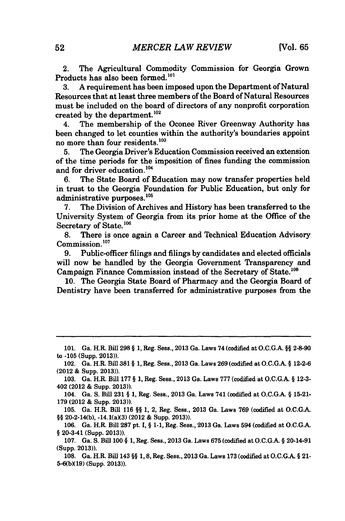2. The Agricultural Commodity Commission for Georgia Grown Products has also been formed.<sup>101</sup>

**3. A** requirement has been imposed upon the Department of Natural Resources that at least three members of the Board of Natural Resources must be included on the board of directors of any nonprofit corporation created by the department.<sup>102</sup>

4. The membership of the Oconee River Greenway Authority has been changed to let counties within the authority's boundaries appoint no more than four residents.<sup>103</sup>

**5.** The Georgia Driver's Education Commission received an extension of the time periods for the imposition of fines funding the commission and for driver education.<sup>104</sup>

**6.** The State Board of Education may now transfer properties held in trust to the Georgia Foundation for Public Education, but only for administrative purposes.<sup>105</sup>

**7.** The Division of Archives and History has been transferred to the University System of Georgia from its prior home at the Office of the Secretary of State.<sup>106</sup>

**8.** There is once again a Career and Technical Education Advisory  $\text{Commission.}^{107}$ <br>9. Public-of

**9.** Public-officer filings and filings **by** candidates and elected officials will now be handled **by** the Georgia Government Transparency and Campaign Finance Commission instead of the Secretary of State.<sup>108</sup>

**10.** The Georgia State Board of Pharmacy and the Georgia Board of Dentistry have been transferred for administrative purposes from the

**<sup>101.</sup>** Ga. H.R. Bill **298 § 1,** Reg. Sess., **2013** Ga. Laws 74 (codified at **O.C.G.A. §§** 2-8-90 to **-105** (Supp. **2013)).**

<sup>102.</sup> Ga. H.R. Bill **381 § 1,** Reg. Sess., **2013** Ga. Laws **269** (codified at **O.C.G.A. § 12-2-6** (2012 **&** Supp. **2013)).**

**<sup>103.</sup>** Ga. H.R. Bill **177 § 1,** Reg. Sess., **2013** Ga. Laws **777** (codified at **O.C.G.A. § 12-3-** 402 (2012 **&** Supp. **2013)).**

<sup>104.</sup> Ga. **S.** Bill **231 § 1,** Reg. Sees., **2013** Ga. Laws 741 (codified at **O.C.G.A. § 15-21- 179** (2012 **&** Supp. **2013)).**

**<sup>105.</sup>** Ga. H.R. Bill **116 §§ 1,** 2, Reg. Sess., **2013** Ga. Laws **769** (codified at **O.C.G.A.** §§ 20-2-14(b), -14.1(a)(3) (2012 & Supp. 2013)).

**<sup>106.</sup>** Ga. H.R. Bill **287** pt. **I, § 1-1,** Reg. Sess., **2013** Ga. Laws 594 (codified at **O.C.G.A. §** 20-3-41 (Supp. **2013)).**

**<sup>107.</sup>** Ga. **S.** Bill **100 § 1,** Reg. Sees., **2013** Ga. Laws **675** (codified at **O.C.G.A. §** 20-14-91 (Supp. **2013)).**

**<sup>108.</sup>** Ga. H.R. Bill 143 **§§ 1, 8,** Reg. Sees., **2013** Ga. Laws **173** (codified at O.C.G.A. **§** 21- **5-6(bX19)** (Supp. **2013)).**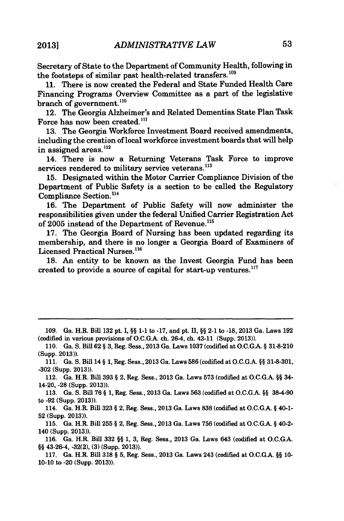Secretary of State to the Department of Community Health, following in the footsteps of similar past health-related transfers.<sup>109</sup>

**11.** There is now created the Federal and State Funded Health Care Financing Programs Overview Committee as a part of the legislative branch of government. $^{110}$ 

12. The Georgia Alzheimer's and Related Dementias State Plan Task Force has now been created.<sup>111</sup>

**13.** The Georgia Workforce Investment Board received amendments, including the creation of local workforce investment boards that will help in assigned areas.<sup>112</sup>

14. There is now a Returning Veterans Task Force to improve services rendered to military service veterans.<sup>113</sup>

**15.** Designated within the Motor Carrier Compliance Division of the Department of Public Safety is a section to be called the Regulatory Compliance Section.<sup>114</sup>

**16.** The Department of Public Safety will now administer the responsibilities given under the federal Unified Carrier Registration Act of **2005** instead of the Department of Revenue.'

**17.** The Georgia Board of Nursing has been updated regarding its membership, and there is no longer a Georgia Board of Examiners of Licensed Practical Nurses.<sup>116</sup>

**18.** An entity to be known as the Invest Georgia Fund has been created to provide a source of capital for start-up ventures.<sup>117</sup>

**109.** Ga. H.R. Bill **132** pt. **1,** *§§* **1-1** to **-17,** and pt. **II,** *§§* 2-1 to -18, 2013 Ga. Laws **192** (codified in various provisions of **O.C.GA.** ch. 26-4, ch. 43-11 (Supp. **2013)).**

**110.** Ga. **S.** Bill **62** *§* **3,** Reg. Sess., **2013** Ga. Laws **1037** (codified at **O.C.GA. § 31-8-210** (Supp. **2013)).**

**111.** Ga. **S.** Bill 14 *§* **1,** Reg. Sess., **2013** Ga. Laws **586** (codified at **O.C.G.A.** *§§* **31-8-301, -302** (Supp. **2013)).**

112. Ga. H.R. Bill **393** *§* 2, Reg. Sess., **2013** Ga. Laws **573** (codified at **O.C.G.A. §§** 34- 14-20, **-28** (Supp. **2013)).**

**113.** Ga. **S.** Bill **76** *§* **1,** Reg. Sess., **2013** Ga. Laws **563** (codified at **O.C.G.A.** *§§* **38-4-90** to **-92** (Supp. **2013)).**

114. Ga. H.R. Bill **323** *§* 2, Reg. Sess., **2013** Ga. Laws **838** (codified at **O.C.G.A.** *§* 40-1- **52** (Supp. **2013)).**

**115.** Ga. H.R. Bill **255** *§* 2, Reg. Sess., **2013** Ga. Laws **756** (codified at **O.C.G.A.** *§* 40-2- 140 (Supp. **2013)).**

**116.** Ga. H.R. Bill **332** *§§* **1, 3,** Reg. Sess., **2013** Ga. Laws 643 (codified at **O.C.G.A.** *§§* 43-26-4, **-32(2), (3)** (Supp. **2013)).**

**117.** Ga. H.R. Bill **318** *§* **5,** Reg. Sess., **2013** Ga. Laws 243 (codified at **O.C.G.A.** *§§* **10- 10-10** to -20 (Supp. **2013)).**